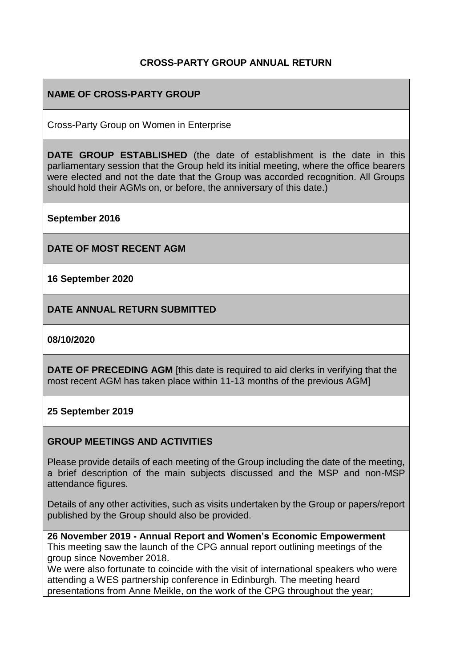#### **CROSS-PARTY GROUP ANNUAL RETURN**

#### **NAME OF CROSS-PARTY GROUP**

Cross-Party Group on Women in Enterprise

**DATE GROUP ESTABLISHED** (the date of establishment is the date in this parliamentary session that the Group held its initial meeting, where the office bearers were elected and not the date that the Group was accorded recognition. All Groups should hold their AGMs on, or before, the anniversary of this date.)

**September 2016**

**DATE OF MOST RECENT AGM**

**16 September 2020**

**DATE ANNUAL RETURN SUBMITTED**

**08/10/2020**

**DATE OF PRECEDING AGM** [this date is required to aid clerks in verifying that the most recent AGM has taken place within 11-13 months of the previous AGM]

#### **25 September 2019**

#### **GROUP MEETINGS AND ACTIVITIES**

Please provide details of each meeting of the Group including the date of the meeting, a brief description of the main subjects discussed and the MSP and non-MSP attendance figures.

Details of any other activities, such as visits undertaken by the Group or papers/report published by the Group should also be provided.

**26 November 2019 - Annual Report and Women's Economic Empowerment** This meeting saw the launch of the CPG annual report outlining meetings of the group since November 2018.

We were also fortunate to coincide with the visit of international speakers who were attending a WES partnership conference in Edinburgh. The meeting heard presentations from Anne Meikle, on the work of the CPG throughout the year;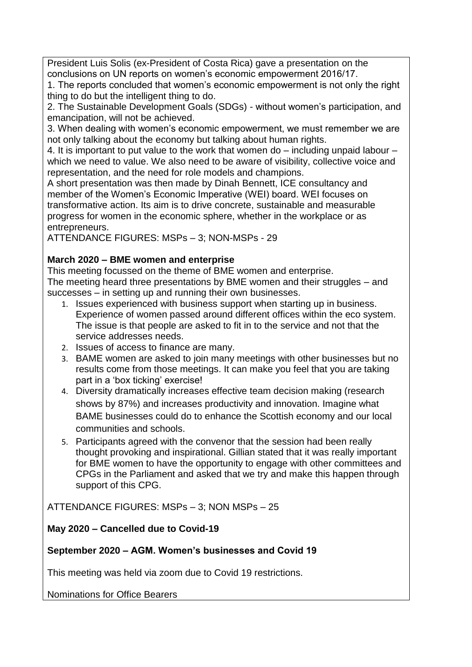President Luis Solis (ex-President of Costa Rica) gave a presentation on the conclusions on UN reports on women's economic empowerment 2016/17.

1. The reports concluded that women's economic empowerment is not only the right thing to do but the intelligent thing to do.

2. The Sustainable Development Goals (SDGs) - without women's participation, and emancipation, will not be achieved.

3. When dealing with women's economic empowerment, we must remember we are not only talking about the economy but talking about human rights.

4. It is important to put value to the work that women do – including unpaid labour – which we need to value. We also need to be aware of visibility, collective voice and representation, and the need for role models and champions.

A short presentation was then made by Dinah Bennett, ICE consultancy and member of the Women's Economic Imperative (WEI) board. WEI focuses on transformative action. Its aim is to drive concrete, sustainable and measurable progress for women in the economic sphere, whether in the workplace or as entrepreneurs.

ATTENDANCE FIGURES: MSPs – 3; NON-MSPs - 29

### **March 2020 – BME women and enterprise**

This meeting focussed on the theme of BME women and enterprise.

The meeting heard three presentations by BME women and their struggles – and successes – in setting up and running their own businesses.

- 1. Issues experienced with business support when starting up in business. Experience of women passed around different offices within the eco system. The issue is that people are asked to fit in to the service and not that the service addresses needs.
- 2. Issues of access to finance are many.
- 3. BAME women are asked to join many meetings with other businesses but no results come from those meetings. It can make you feel that you are taking part in a 'box ticking' exercise!
- 4. Diversity dramatically increases effective team decision making (research shows by 87%) and increases productivity and innovation. Imagine what BAME businesses could do to enhance the Scottish economy and our local communities and schools.
- 5. Participants agreed with the convenor that the session had been really thought provoking and inspirational. Gillian stated that it was really important for BME women to have the opportunity to engage with other committees and CPGs in the Parliament and asked that we try and make this happen through support of this CPG.

ATTENDANCE FIGURES: MSPs – 3; NON MSPs – 25

### **May 2020 – Cancelled due to Covid-19**

### **September 2020 – AGM. Women's businesses and Covid 19**

This meeting was held via zoom due to Covid 19 restrictions.

Nominations for Office Bearers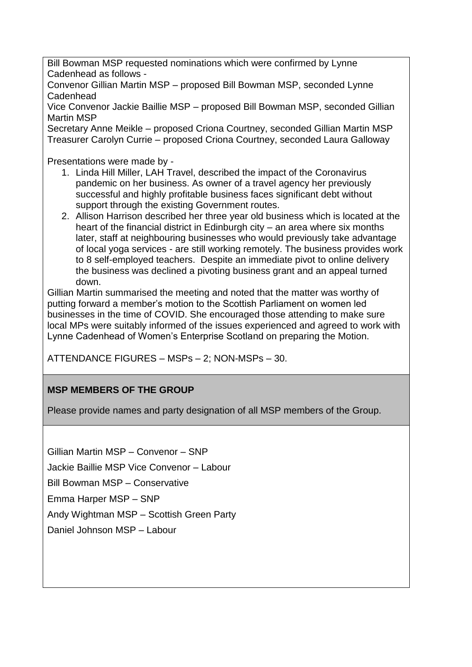Bill Bowman MSP requested nominations which were confirmed by Lynne Cadenhead as follows -

Convenor Gillian Martin MSP – proposed Bill Bowman MSP, seconded Lynne Cadenhead

Vice Convenor Jackie Baillie MSP – proposed Bill Bowman MSP, seconded Gillian Martin MSP

Secretary Anne Meikle – proposed Criona Courtney, seconded Gillian Martin MSP Treasurer Carolyn Currie – proposed Criona Courtney, seconded Laura Galloway

Presentations were made by -

- 1. Linda Hill Miller, LAH Travel, described the impact of the Coronavirus pandemic on her business. As owner of a travel agency her previously successful and highly profitable business faces significant debt without support through the existing Government routes.
- 2. Allison Harrison described her three year old business which is located at the heart of the financial district in Edinburgh city – an area where six months later, staff at neighbouring businesses who would previously take advantage of local yoga services - are still working remotely. The business provides work to 8 self-employed teachers. Despite an immediate pivot to online delivery the business was declined a pivoting business grant and an appeal turned down.

Gillian Martin summarised the meeting and noted that the matter was worthy of putting forward a member's motion to the Scottish Parliament on women led businesses in the time of COVID. She encouraged those attending to make sure local MPs were suitably informed of the issues experienced and agreed to work with Lynne Cadenhead of Women's Enterprise Scotland on preparing the Motion.

ATTENDANCE FIGURES – MSPs – 2; NON-MSPs – 30.

# **MSP MEMBERS OF THE GROUP**

Please provide names and party designation of all MSP members of the Group.

Gillian Martin MSP – Convenor – SNP

Jackie Baillie MSP Vice Convenor – Labour

Bill Bowman MSP – Conservative

Emma Harper MSP – SNP

Andy Wightman MSP – Scottish Green Party

Daniel Johnson MSP – Labour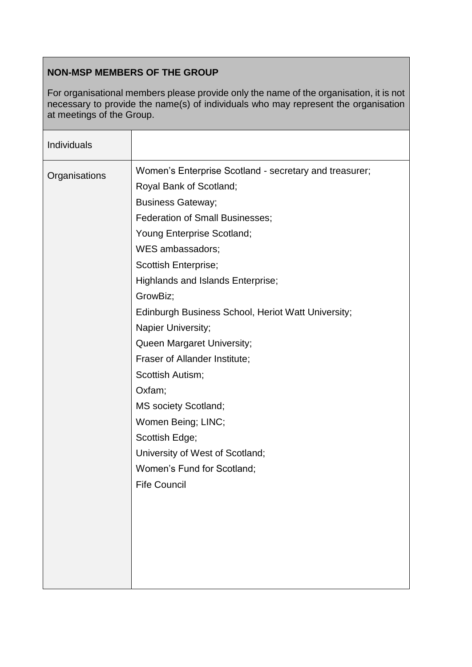# **NON-MSP MEMBERS OF THE GROUP**

For organisational members please provide only the name of the organisation, it is not necessary to provide the name(s) of individuals who may represent the organisation at meetings of the Group.

| Individuals   |                                                        |
|---------------|--------------------------------------------------------|
| Organisations | Women's Enterprise Scotland - secretary and treasurer; |
|               | Royal Bank of Scotland;                                |
|               | <b>Business Gateway;</b>                               |
|               | <b>Federation of Small Businesses;</b>                 |
|               | Young Enterprise Scotland;                             |
|               | WES ambassadors;                                       |
|               | Scottish Enterprise;                                   |
|               | Highlands and Islands Enterprise;                      |
|               | GrowBiz;                                               |
|               | Edinburgh Business School, Heriot Watt University;     |
|               | Napier University;                                     |
|               | Queen Margaret University;                             |
|               | Fraser of Allander Institute;                          |
|               | Scottish Autism;                                       |
|               | Oxfam;                                                 |
|               | <b>MS society Scotland;</b>                            |
|               | Women Being; LINC;                                     |
|               | Scottish Edge;                                         |
|               | University of West of Scotland;                        |
|               | Women's Fund for Scotland;                             |
|               | <b>Fife Council</b>                                    |
|               |                                                        |
|               |                                                        |
|               |                                                        |
|               |                                                        |
|               |                                                        |
|               |                                                        |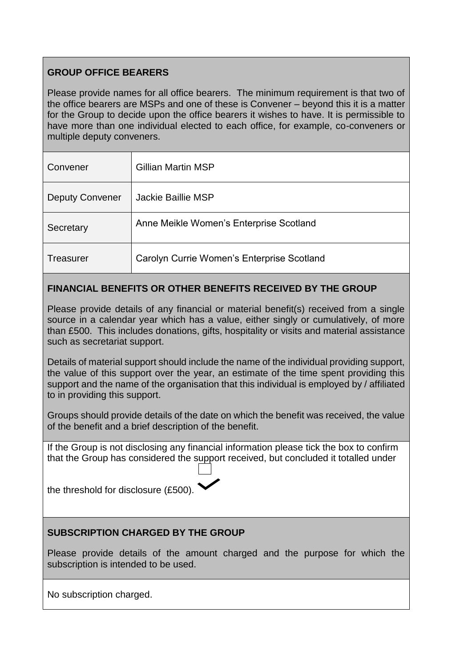# **GROUP OFFICE BEARERS**

Please provide names for all office bearers. The minimum requirement is that two of the office bearers are MSPs and one of these is Convener – beyond this it is a matter for the Group to decide upon the office bearers it wishes to have. It is permissible to have more than one individual elected to each office, for example, co-conveners or multiple deputy conveners.

| Convener               | <b>Gillian Martin MSP</b>                  |
|------------------------|--------------------------------------------|
| <b>Deputy Convener</b> | Jackie Baillie MSP                         |
| Secretary              | Anne Meikle Women's Enterprise Scotland    |
| Treasurer              | Carolyn Currie Women's Enterprise Scotland |

# **FINANCIAL BENEFITS OR OTHER BENEFITS RECEIVED BY THE GROUP**

Please provide details of any financial or material benefit(s) received from a single source in a calendar year which has a value, either singly or cumulatively, of more than £500. This includes donations, gifts, hospitality or visits and material assistance such as secretariat support.

Details of material support should include the name of the individual providing support, the value of this support over the year, an estimate of the time spent providing this support and the name of the organisation that this individual is employed by / affiliated to in providing this support.

Groups should provide details of the date on which the benefit was received, the value of the benefit and a brief description of the benefit.

If the Group is not disclosing any financial information please tick the box to confirm that the Group has considered the support received, but concluded it totalled under

the threshold for disclosure (£500).

#### **SUBSCRIPTION CHARGED BY THE GROUP**

Please provide details of the amount charged and the purpose for which the subscription is intended to be used.

No subscription charged.